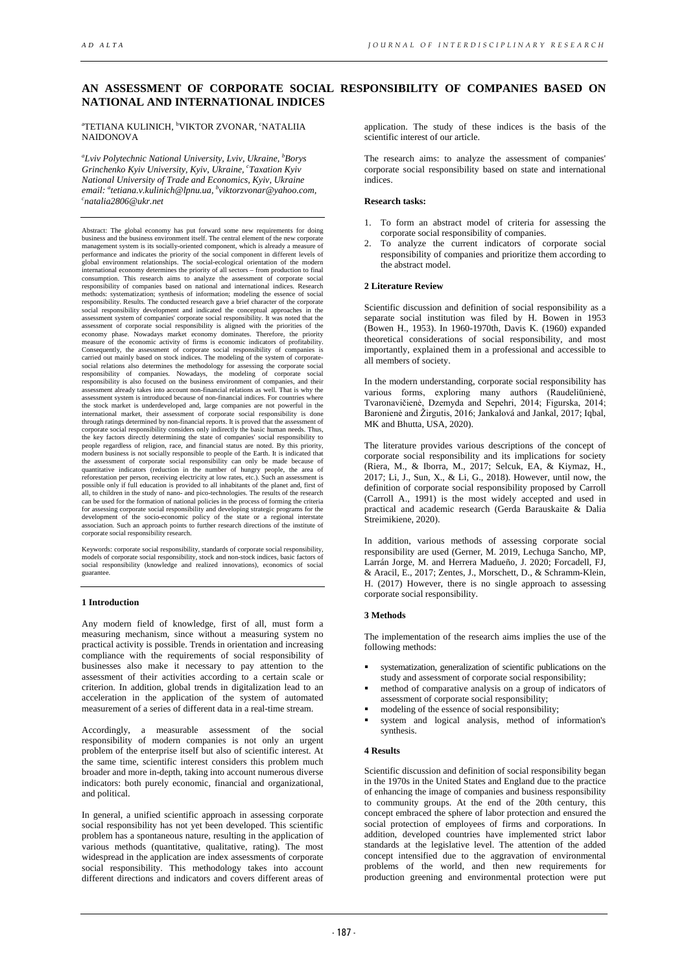# **AN ASSESSMENT OF CORPORATE SOCIAL RESPONSIBILITY OF COMPANIES BASED ON NATIONAL AND INTERNATIONAL INDICES**

<sup>a</sup>TETIANA KULINICH, <sup>b</sup>VIKTOR ZVONAR, ʿNATALIIA NAIDONOVA

*a Lviv Polytechnic National University, Lviv, Ukraine, b Borys*  Grinchenko Kyiv University, Kyiv, Ukraine, <sup>c</sup>Taxation Kyiv *email: a [tetiana.v.kulinich@lpnu.ua,](mailto:tetiana.v.kulinich@lpnu.ua) b [viktorzvonar@yahoo.com,](mailto:viktorzvonar@yahoo.com) c National University of Trade and Economics, Kyiv, Ukraine natalia2806@ukr.net* 

Abstract: The global economy has put forward some new requirements for doing business and the business environment itself. The central element of the new corporate passes and the basiness environment risen. The central element of the new corporate management system is its socially-oriented component, which is already a measure of performance and indicates the priority of the social component in different levels of global environment relationships. The social-ecological orientation of the modern international economy determines the priority of all sectors – from production to final consumption. This research aims to analyze the assessment of corporate social responsibility of companies based on national and international indices. Research methods: systematization; synthesis of information; modeling the essence of social responsibility. Results. The conducted research gave a brief character of the corporate social responsibility development and indicated the conceptual approaches in the assessment system of companies' corporate social responsibility. It was noted that the assessment of corporate social responsibility is aligned with the priorities of the economy phase. Nowadays market economy dominates. Therefore, the priority measure of the economic activity of firms is economic indicators of profitability.<br>Consequently, the assessment of corporate social responsibility of companies is<br>carried out mainly based on stock indices. The modeling of assessment system is introduced because of non-financial indices. For countries where the stock market is underdeveloped and, large companies are not powerful in the international market, their assessment of corporate social responsibility is done through ratings determined by non-financial reports. It is proved that the assessment of corporate social responsibility considers only indirectly the basic human needs. Thus, the key factors directly determining the state of companies' social responsibility to people regardless of religion, race, and financial status are noted. By this priority, modern business is not socially responsible to people of the Earth. It is indicated that the assessment of corporate social responsibility can only be made because of quantitative indicators (reduction in the number of hungry people, the area of reforestation per person, receiving electricity at low rates, etc possible only if full education is provided to all inhabitants of the planet and, first of all, to children in the study of nano- and pico-technologies. The results of the research<br>can be used for the formation of national policies in the process of forming the criteria<br>for assessing corporate oscial responsibil corporate social responsibility research.

Keywords: corporate social responsibility, standards of corporate social responsibility, models of corporate social responsibility, stock and non-stock indices, basic factors of social responsibility (knowledge and realized innovations), economics of social guarantee.

# **1 Introduction**

Any modern field of knowledge, first of all, must form a measuring mechanism, since without a measuring system no practical activity is possible. Trends in orientation and increasing compliance with the requirements of social responsibility of businesses also make it necessary to pay attention to the assessment of their activities according to a certain scale or criterion. In addition, global trends in digitalization lead to an acceleration in the application of the system of automated measurement of a series of different data in a real-time stream.

Accordingly, a measurable assessment of the social responsibility of modern companies is not only an urgent problem of the enterprise itself but also of scientific interest. At the same time, scientific interest considers this problem much broader and more in-depth, taking into account numerous diverse indicators: both purely economic, financial and organizational, and political.

In general, a unified scientific approach in assessing corporate social responsibility has not yet been developed. This scientific problem has a spontaneous nature, resulting in the application of various methods (quantitative, qualitative, rating). The most widespread in the application are index assessments of corporate social responsibility. This methodology takes into account different directions and indicators and covers different areas of

application. The study of these indices is the basis of the scientific interest of our article.

The research aims: to analyze the assessment of companies' corporate social responsibility based on state and international indices.

### **Research tasks:**

- 1. To form an abstract model of criteria for assessing the corporate social responsibility of companies.
- 2. To analyze the current indicators of corporate social responsibility of companies and prioritize them according to the abstract model.

# **2 Literature Review**

Scientific discussion and definition of social responsibility as a separate social institution was filed by H. Bowen in 1953 (Bowen H., 1953). In 1960-1970th, Davis K. (1960) expanded theoretical considerations of social responsibility, and most importantly, explained them in a professional and accessible to all members of society.

In the modern understanding, corporate social responsibility has various forms, exploring many authors (Raudeliūnienė, Tvaronavičienė, Dzemyda and Sepehri, 2014; Figurska, 2014; Baronienė and Žirgutis, 2016; Jankalová and Jankal, 2017; Iqbal, MK and Bhutta, USA, 2020).

The literature provides various descriptions of the concept of corporate social responsibility and its implications for society (Riera, M., & Iborra, M., 2017; Selcuk, EA, & Kiymaz, H., 2017; Li, J., Sun, X., & Li, G., 2018). However, until now, the definition of corporate social responsibility proposed by Carroll (Carroll A., 1991) is the most widely accepted and used in practical and academic research (Gerda Barauskaite & Dalia Streimikiene, 2020).

In addition, various methods of assessing corporate social responsibility are used (Gerner, M. 2019, Lechuga Sancho, MP, Larrán Jorge, M. and Herrera Madueño, J. 2020; Forcadell, FJ, & Aracil, E., 2017; Zentes, J., Morschett, D., & Schramm-Klein, H. (2017) However, there is no single approach to assessing corporate social responsibility.

#### **3 Methods**

The implementation of the research aims implies the use of the following methods:

- systematization, generalization of scientific publications on the study and assessment of corporate social responsibility;
- method of comparative analysis on a group of indicators of assessment of corporate social responsibility;
- modeling of the essence of social responsibility;
- system and logical analysis, method of information's synthesis.

## **4 Results**

Scientific discussion and definition of social responsibility began in the 1970s in the United States and England due to the practice of enhancing the image of companies and business responsibility to community groups. At the end of the 20th century, this concept embraced the sphere of labor protection and ensured the social protection of employees of firms and corporations. In addition, developed countries have implemented strict labor standards at the legislative level. The attention of the added concept intensified due to the aggravation of environmental problems of the world, and then new requirements for production greening and environmental protection were put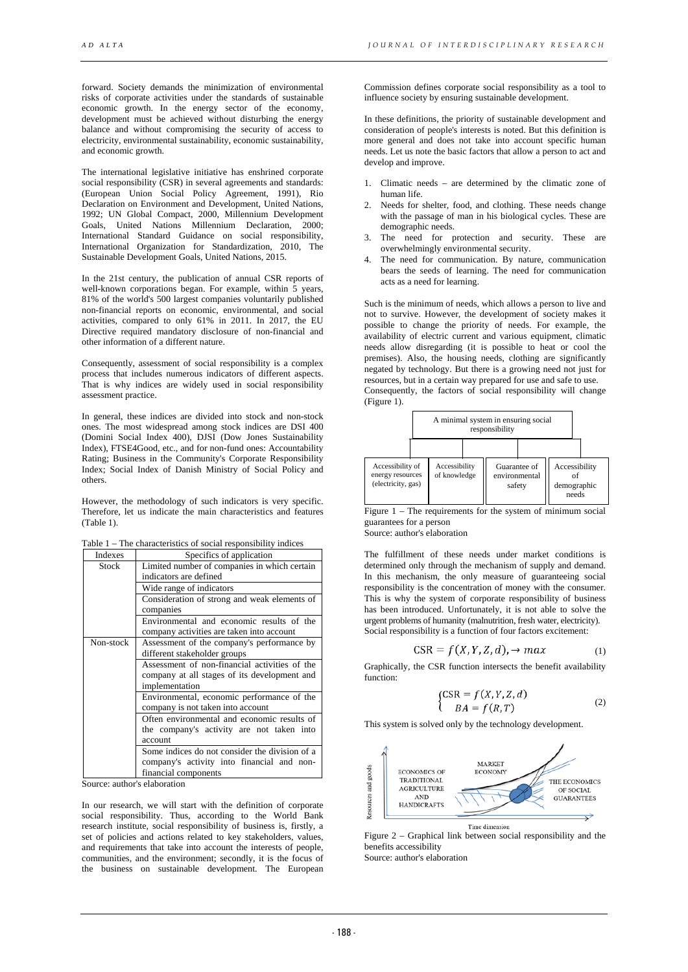forward. Society demands the minimization of environmental risks of corporate activities under the standards of sustainable economic growth. In the energy sector of the economy, development must be achieved without disturbing the energy balance and without compromising the security of access to electricity, environmental sustainability, economic sustainability, and economic growth.

The international legislative initiative has enshrined corporate social responsibility (CSR) in several agreements and standards: (European Union Social Policy Agreement, 1991), Rio Declaration on Environment and Development, United Nations, 1992; UN Global Compact, 2000, Millennium Development Goals, United Nations Millennium Declaration, 2000; International Standard Guidance on social responsibility, International Organization for Standardization, 2010, The Sustainable Development Goals, United Nations, 2015.

In the 21st century, the publication of annual CSR reports of well-known corporations began. For example, within 5 years, 81% of the world's 500 largest companies voluntarily published non-financial reports on economic, environmental, and social activities, compared to only 61% in 2011. In 2017, the EU Directive required mandatory disclosure of non-financial and other information of a different nature.

Consequently, assessment of social responsibility is a complex process that includes numerous indicators of different aspects. That is why indices are widely used in social responsibility assessment practice.

In general, these indices are divided into stock and non-stock ones. The most widespread among stock indices are DSI 400 (Domini Social Index 400), DJSI (Dow Jones Sustainability Index), FTSE4Good, etc., and for non-fund ones: Accountability Rating; Business in the Community's Corporate Responsibility Index; Social Index of Danish Ministry of Social Policy and others.

However, the methodology of such indicators is very specific. Therefore, let us indicate the main characteristics and features (Table 1).

Table 1 – The characteristics of social responsibility indices

| Indexes   | Specifics of application                       |  |  |  |  |  |  |
|-----------|------------------------------------------------|--|--|--|--|--|--|
| Stock     | Limited number of companies in which certain   |  |  |  |  |  |  |
|           | indicators are defined                         |  |  |  |  |  |  |
|           | Wide range of indicators                       |  |  |  |  |  |  |
|           | Consideration of strong and weak elements of   |  |  |  |  |  |  |
|           | companies                                      |  |  |  |  |  |  |
|           | Environmental and economic results of the      |  |  |  |  |  |  |
|           | company activities are taken into account      |  |  |  |  |  |  |
| Non-stock | Assessment of the company's performance by     |  |  |  |  |  |  |
|           | different stakeholder groups                   |  |  |  |  |  |  |
|           | Assessment of non-financial activities of the  |  |  |  |  |  |  |
|           | company at all stages of its development and   |  |  |  |  |  |  |
|           | implementation                                 |  |  |  |  |  |  |
|           | Environmental, economic performance of the     |  |  |  |  |  |  |
|           | company is not taken into account              |  |  |  |  |  |  |
|           | Often environmental and economic results of    |  |  |  |  |  |  |
|           | the company's activity are not taken into      |  |  |  |  |  |  |
|           | account                                        |  |  |  |  |  |  |
|           | Some indices do not consider the division of a |  |  |  |  |  |  |
|           | company's activity into financial and non-     |  |  |  |  |  |  |
|           | financial components                           |  |  |  |  |  |  |

Source: author's elaboration

In our research, we will start with the definition of corporate social responsibility. Thus, according to the World Bank research institute, social responsibility of business is, firstly, a set of policies and actions related to key stakeholders, values, and requirements that take into account the interests of people, communities, and the environment; secondly, it is the focus of the business on sustainable development. The European

Commission defines corporate social responsibility as a tool to influence society by ensuring sustainable development.

In these definitions, the priority of sustainable development and consideration of people's interests is noted. But this definition is more general and does not take into account specific human needs. Let us note the basic factors that allow a person to act and develop and improve.

- 1. Climatic needs are determined by the climatic zone of human life.
- Needs for shelter, food, and clothing. These needs change with the passage of man in his biological cycles. These are demographic needs.
- 3. The need for protection and security. These are overwhelmingly environmental security.
- 4. The need for communication. By nature, communication bears the seeds of learning. The need for communication acts as a need for learning.

Such is the minimum of needs, which allows a person to live and not to survive. However, the development of society makes it possible to change the priority of needs. For example, the availability of electric current and various equipment, climatic needs allow disregarding (it is possible to heat or cool the premises). Also, the housing needs, clothing are significantly negated by technology. But there is a growing need not just for resources, but in a certain way prepared for use and safe to use.

Consequently, the factors of social responsibility will change (Figure 1).

|                                                            |  | A minimal system in ensuring social |  |                                         |  |                                       |  |
|------------------------------------------------------------|--|-------------------------------------|--|-----------------------------------------|--|---------------------------------------|--|
| Accessibility of<br>energy resources<br>(electricity, gas) |  | Accessibility<br>of knowledge       |  | Guarantee of<br>environmental<br>safety |  | Accessibility<br>demographic<br>needs |  |

Figure 1 – The requirements for the system of minimum social guarantees for a person

Source: author's elaboration

The fulfillment of these needs under market conditions is determined only through the mechanism of supply and demand. In this mechanism, the only measure of guaranteeing social responsibility is the concentration of money with the consumer. This is why the system of corporate responsibility of business has been introduced. Unfortunately, it is not able to solve the urgent problems of humanity (malnutrition, fresh water, electricity). Social responsibility is a function of four factors excitement:

$$
CSR = f(X, Y, Z, d), \rightarrow max \tag{1}
$$

Graphically, the CSR function intersects the benefit availability function:

$$
\begin{cases}\n\text{CSR} = f(X, Y, Z, d) \\
BA = f(R, T)\n\end{cases} (2)
$$

This system is solved only by the technology development.



Figure 2 – Graphical link between social responsibility and the benefits accessibility

Source: author's elaboration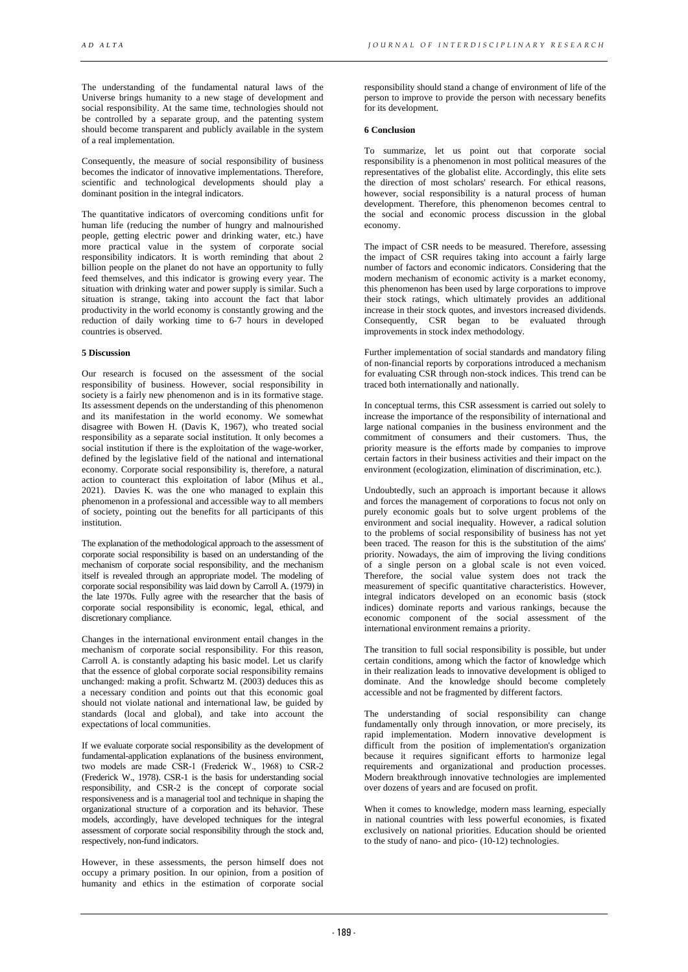The understanding of the fundamental natural laws of the Universe brings humanity to a new stage of development and social responsibility. At the same time, technologies should not be controlled by a separate group, and the patenting system should become transparent and publicly available in the system of a real implementation.

Consequently, the measure of social responsibility of business becomes the indicator of innovative implementations. Therefore, scientific and technological developments should play a dominant position in the integral indicators.

The quantitative indicators of overcoming conditions unfit for human life (reducing the number of hungry and malnourished people, getting electric power and drinking water, etc.) have more practical value in the system of corporate social responsibility indicators. It is worth reminding that about 2 billion people on the planet do not have an opportunity to fully feed themselves, and this indicator is growing every year. The situation with drinking water and power supply is similar. Such a situation is strange, taking into account the fact that labor productivity in the world economy is constantly growing and the reduction of daily working time to 6-7 hours in developed countries is observed.

### **5 Discussion**

Our research is focused on the assessment of the social responsibility of business. However, social responsibility in society is a fairly new phenomenon and is in its formative stage. Its assessment depends on the understanding of this phenomenon and its manifestation in the world economy. We somewhat disagree with Bowen H. (Davis K, 1967), who treated social responsibility as a separate social institution. It only becomes a social institution if there is the exploitation of the wage-worker, defined by the legislative field of the national and international economy. Corporate social responsibility is, therefore, a natural action to counteract this exploitation of labor (Mihus et al., 2021). Davies K. was the one who managed to explain this phenomenon in a professional and accessible way to all members of society, pointing out the benefits for all participants of this institution.

The explanation of the methodological approach to the assessment of corporate social responsibility is based on an understanding of the mechanism of corporate social responsibility, and the mechanism itself is revealed through an appropriate model. The modeling of corporate social responsibility was laid down by Carroll A. (1979) in the late 1970s. Fully agree with the researcher that the basis of corporate social responsibility is economic, legal, ethical, and discretionary compliance.

Changes in the international environment entail changes in the mechanism of corporate social responsibility. For this reason, Carroll A. is constantly adapting his basic model. Let us clarify that the essence of global corporate social responsibility remains unchanged: making a profit. Schwartz M. (2003) deduces this as a necessary condition and points out that this economic goal should not violate national and international law, be guided by standards (local and global), and take into account the expectations of local communities.

If we evaluate corporate social responsibility as the development of fundamental-application explanations of the business environment, two models are made СSR-1 (Frederick W., 1968) to СSR-2 (Frederick W., 1978). CSR-1 is the basis for understanding social responsibility, and CSR-2 is the concept of corporate social responsiveness and is a managerial tool and technique in shaping the organizational structure of a corporation and its behavior. These models, accordingly, have developed techniques for the integral assessment of corporate social responsibility through the stock and, respectively, non-fund indicators.

However, in these assessments, the person himself does not occupy a primary position. In our opinion, from a position of humanity and ethics in the estimation of corporate social

responsibility should stand a change of environment of life of the person to improve to provide the person with necessary benefits for its development.

#### **6 Conclusion**

To summarize, let us point out that corporate social responsibility is a phenomenon in most political measures of the representatives of the globalist elite. Accordingly, this elite sets the direction of most scholars' research. For ethical reasons, however, social responsibility is a natural process of human development. Therefore, this phenomenon becomes central to the social and economic process discussion in the global economy.

The impact of CSR needs to be measured. Therefore, assessing the impact of CSR requires taking into account a fairly large number of factors and economic indicators. Considering that the modern mechanism of economic activity is a market economy, this phenomenon has been used by large corporations to improve their stock ratings, which ultimately provides an additional increase in their stock quotes, and investors increased dividends. Consequently, CSR began to be evaluated through improvements in stock index methodology.

Further implementation of social standards and mandatory filing of non-financial reports by corporations introduced a mechanism for evaluating CSR through non-stock indices. This trend can be traced both internationally and nationally.

In conceptual terms, this CSR assessment is carried out solely to increase the importance of the responsibility of international and large national companies in the business environment and the commitment of consumers and their customers. Thus, the priority measure is the efforts made by companies to improve certain factors in their business activities and their impact on the environment (ecologization, elimination of discrimination, etc.).

Undoubtedly, such an approach is important because it allows and forces the management of corporations to focus not only on purely economic goals but to solve urgent problems of the environment and social inequality. However, a radical solution to the problems of social responsibility of business has not yet been traced. The reason for this is the substitution of the aims' priority. Nowadays, the aim of improving the living conditions of a single person on a global scale is not even voiced. Therefore, the social value system does not track the measurement of specific quantitative characteristics. However, integral indicators developed on an economic basis (stock indices) dominate reports and various rankings, because the economic component of the social assessment of the international environment remains a priority.

The transition to full social responsibility is possible, but under certain conditions, among which the factor of knowledge which in their realization leads to innovative development is obliged to dominate. And the knowledge should become completely accessible and not be fragmented by different factors.

The understanding of social responsibility can change fundamentally only through innovation, or more precisely, its rapid implementation. Modern innovative development is difficult from the position of implementation's organization because it requires significant efforts to harmonize legal requirements and organizational and production processes. Modern breakthrough innovative technologies are implemented over dozens of years and are focused on profit.

When it comes to knowledge, modern mass learning, especially in national countries with less powerful economies, is fixated exclusively on national priorities. Education should be oriented to the study of nano- and pico- (10-12) technologies.